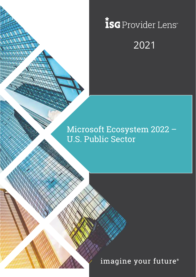# *isc* Provider Lens® 2021

# Microsoft Ecosystem 2022 – U.S. Public Sector

imagine your future®

Copyright © 2019, Information Services Group, Inc. All Rights Reserved. 1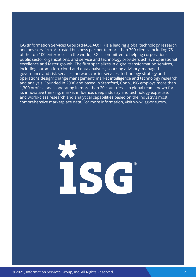ISG (Information Services Group) (NASDAQ: III) is a leading global technology research and advisory firm. A trusted business partner to more than 700 clients, including 75 of the top 100 enterprises in the world, ISG is committed to helping corporations, public sector organizations, and service and technology providers achieve operational excellence and faster growth. The firm specializes in digital transformation services, including automation, cloud and data analytics; sourcing advisory; managed governance and risk services; network carrier services; technology strategy and operations design; change management; market intelligence and technology research and analysis. Founded in 2006 and based in Stamford, Conn., ISG employs more than 1,300 professionals operating in more than 20 countries — a global team known for its innovative thinking, market influence, deep industry and technology expertise, and world-class research and analytical capabilities based on the industry's most comprehensive marketplace data. For more information, visit www.isg-one.com.

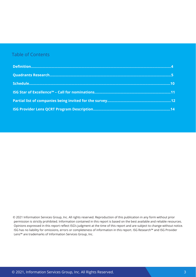### Table of Contents

© 2021 Information Services Group, Inc. All rights reserved. Reproduction of this publication in any form without prior permission is strictly prohibited. Information contained in this report is based on the best available and reliable resources. Opinions expressed in this report reflect ISG's judgment at the time of this report and are subject to change without notice. ISG has no liability for omissions, errors or completeness of information in this report. ISG Research™ and ISG Provider Lens™ are trademarks of Information Services Group, Inc.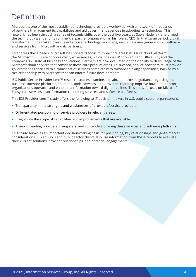# <span id="page-3-0"></span>Definition

Microsoft is one of the most established technology providers worldwide, with a network of thousands of partners that augment its capabilities and aid government agencies in adopting its technology. This network has been through a series of tectonic shifts over the past five years, as Satya Nadella transformed the technology giant and its commercial partner organization in his role as CEO. In that same period, digital transformation has taken over the enterprise technology landscape, requiring a new generation of software and services from Microsoft and its partners.

To address these needs, Microsoft has honed its focus to three core areas: its Azure cloud platform, the Microsoft 365 suite of productivity experiences, which includes Windows 10 and Office 365, and the Dynamics 365 suite of business applications. Partners are now evaluated on their ability to drive usage of the Microsoft cloud services that comprise these core product areas. To succeed, service providers must provide government agencies with a robust set of services complete with forward-thinking capabilities, backed by a rich relationship with Microsoft that can inform future developments.

ISG Public Sector Provider Lens™ research studies examine, explain, and provide guidance regarding the business software platforms, solutions, tools, services, and providers that help improve how public sector organizations operate - and enable transformation toward digital realities. This study focuses on Microsoft Ecosystem services, transformation consulting services, and software platforms.

This ISG Provider Lens™ study offers the following to IT decision-makers in U.S. public sector organizations:

- Transparency in the strengths and weaknesses of providers/service providers.
- Differentiated positioning of service providers in relevant areas.
- Insight into the scope of capabilities and improvements that are available.
- A view of leading providers, rising stars, and contenders offering these services and software platforms.

This study serves as an important decision-making basis for positioning, key relationships and go-to-market considerations. ISG advisors and public sector clients also use information from these reports to evaluate their current solutions, provider relationships, and potential engagements.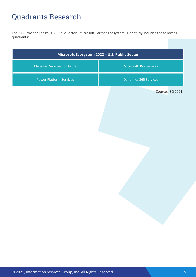# <span id="page-4-0"></span>Quadrants Research

The ISG Provider Lens™ U.S. Public Sector - Microsoft Partner Ecosystem 2022 study includes the following quadrants:

| Microsoft Ecosystem 2022 - U.S. Public Sector |  |  |  |
|-----------------------------------------------|--|--|--|
| Microsoft 365 Services                        |  |  |  |
| Dynamics 365 Services                         |  |  |  |
| Source: ISG 2021                              |  |  |  |
|                                               |  |  |  |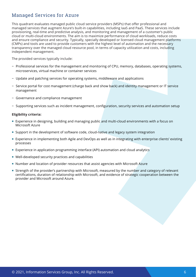### Managed Services for Azure

This quadrant evaluates managed public cloud service providers (MSPs) that offer professional and managed services that augment Azure's built-in capabilities, including IaaS and PaaS. These services include provisioning, real-time and predictive analysis, and monitoring and management of a customer's public cloud or multi-cloud environments. The aim is to maximize performance of cloud workloads, reduce costs and ensure compliance and security. Typically, specially developed or licensed cloud management platforms (CMPs) and tools are used to provide customers with the highest level of automation and the necessary transparency over the managed cloud resource pool, in terms of capacity utilization and costs, including independent management.

The provided services typically include:

- − Professional services for the management and monitoring of CPU, memory, databases, operating systems, microservices, virtual machine or container services
- − Update and patching services for operating systems, middleware and applications
- − Service portal for cost management (charge back and show back) and identity management or IT service management
- − Governance and compliance management
- − Supporting services such as incident management, configuration, security services and automation setup

- Experience in designing, building and managing public and multi-cloud environments with a focus on Microsoft Azure
- Support in the development of software code, cloud-native and legacy system integration
- Experience in implementing both Agile and DevOps as well as in integrating with enterprise clients' existing processes
- **Experience in application programming interface (API) automation and cloud analytics**
- Well-developed security practices and capabilities
- Number and location of provider resources that assist agencies with Microsoft Azure
- Strength of the provider's partnership with Microsoft, measured by the number and category of relevant certifications, duration of relationship with Microsoft, and evidence of strategic cooperation between the provider and Microsoft around Azure.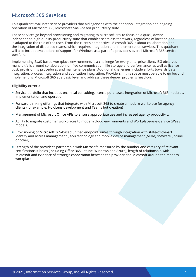### Microsoft 365 Services

This quadrant evaluates service providers that aid agencies with the adoption, integration and ongoing operation of Microsoft 365, Microsoft's SaaS-based productivity suite.

These services go beyond provisioning and migrating to Microsoft 365 to focus on a quick, deviceindependent, high-quality productivity suite that enables seamless teamwork, regardless of location and is adapted to the role of the user. From the client's perspective, Microsoft 365 is about collaboration and the integration of dispersed teams, which requires integration and implementation services. This quadrant will also include evaluations of support for Windows as a part of a provider's overall Microsoft 365 service portfolio.

Implementing SaaS-based workplace environments is a challenge for every enterprise client. ISG observes many pitfalls around collaboration, unified communication, file storage and performance, as well as license cost, provisioning procedures and maintenance plans. Additional challenges include efforts towards data integration, process integration and application integration. Providers in this space must be able to go beyond implementing Microsoft 365 at a basic level and address these deeper problems head-on.

- Service portfolio that includes technical consulting, license purchases, integration of Microsoft 365 modules, implementation and operation
- Forward-thinking offerings that integrate with Microsoft 365 to create a modern workplace for agency clients (for example, HoloLens development and Teams bot creation)
- Management of Microsoft Office APIs to ensure appropriate use and increased agency productivity
- Ability to migrate customer workplaces to modern cloud environments and Workplace-as-a-Service (WaaS) models.
- Provisioning of Microsoft 365-based unified endpoint suites through integration with state-of-the-art identity and access management (IAM) technology and mobile device management (MDM) software (Intune or other).
- Strength of the provider's partnership with Microsoft, measured by the number and category of relevant certifications it holds (including Office 365, Intune, Windows and Azure), length of relationship with Microsoft and evidence of strategic cooperation between the provider and Microsoft around the modern workplace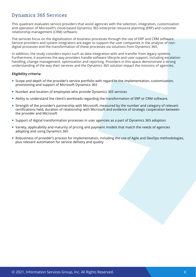### Dynamics 365 Services

This quadrant evaluates service providers that assist agencies with the selection, integration, customization and operation of Microsoft's cloud-based Dynamics 365 enterprise resource planning (ERP) and customer relationship management (CRM) software.

The services focus on the digitalization of business processes through the use of ERP and CRM software. Service providers and system integrators are eager to support the user companies in the analysis of nondigital processes and the transformation of these processes via solutions from Dynamics 365.

In addition, the study considers topics such as data integration with and transfer from legacy systems. Furthermore, it examines the way providers handle software lifecycle and user support, including escalation handling, change management, optimization and reporting. Providers in this space demonstrate a strong understanding of the way their services and the Dynamics 365 solution impact the missions of agencies.

- Scope and depth of the provider's service portfolio with regard to the implementation, customization, provisioning and support of Microsoft Dynamics 365
- Number and location of employees who provide Dynamics 365 services
- Ability to understand the client's workloads regarding the transformation of ERP or CRM software.
- Strength of the provider's partnership with Microsoft, measured by the number and category of relevant certifications held, duration of relationship with Microsoft and evidence of strategic cooperation between the provider and Microsoft
- Support of digital transformation processes in user agencies as a part of Dynamics 365 adoption
- Variety, applicability and maturity of pricing and payment models that match the needs of agencies adopting and using Dynamics 365
- Robustness of provider's process for implementation, including the use of Agile and DevOps methodologies, plus relevant automation for service delivery and quality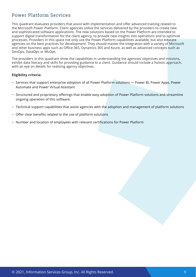### Power Platform Services

This quadrant evaluates providers that assist with implementation and offer advanced training related to the Microsoft Power Platform. Client agencies utilize the services delivered by the providers to create new and sophisticated software applications. The new solutions based on the Power Platform are intended to support digital transformation for the client agency, to provide new insights into operations and to optimize processes. Providers in this space not only use the Power Platform capabilities available, but also educate agencies on the best practices for development. They should master the integration with a variety of Microsoft and other business apps such as Office 365, Dynamics 365 and Azure, as well as advanced concepts such as DevOps, DataOps or MLOps.

The providers in this quadrant show the capabilities in understanding the agencies' objectives and missions, exhibit data literacy and skills for providing guidance to a client. Guidance should include a holistic approach, with an eye on details for realizing agency objectives.

- − Services that support enterprise adoption of all Power Platform solutions ― Power BI, Power Apps, Power Automate and Power Virtual Assistant
- − Structured and proprietary offerings that enable easy adoption of Power Platform solutions and streamline ongoing operation of this software
- − Technical support capabilities that assist agencies with the adoption and management of platform solutions
- − Offer clear benefits related to the use of platform solutions
- − Number and location of employees with relevant certifications for Power Platform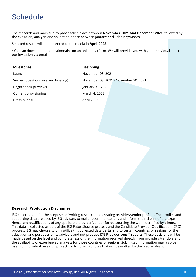# <span id="page-9-0"></span>Schedule

The research and main survey phase takes place between **November 2021 and December 2021**, followed by the evalution, analysis and validation phase between January and February/March.

Selected results will be presented to the media in **April 2022**.

\*You can download the questionnaire on an online platform. We will provide you with your individual link in our invitation via email.

#### **Milestones Beginning**

Launch November 03, 2021 Begin sneak previews **January 31, 2022** Content provisioning and March 4, 2022 Press release April 2022

Survey (questionnaire and briefing) November 03, 2021 - November 30, 2021

#### **Research Production Disclaimer:**

ISG collects data for the purposes of writing research and creating provider/vendor profiles. The profiles and supporting data are used by ISG advisors to make recommendations and inform their clients of the experience and qualifications of any applicable provider/vendor for outsourcing the work identified by clients. This data is collected as part of the ISG FutureSource process and the Candidate Provider Qualification (CPQ) process. ISG may choose to only utilize this collected data pertaining to certain countries or regions for the education and purposes of its advisors and not produce ISG Provider Lens™ reports. These decisions will be made based on the level and completeness of the information received directly from providers/vendors and the availability of experienced analysts for those countries or regions. Submitted information may also be used for individual research projects or for briefing notes that will be written by the lead analysts.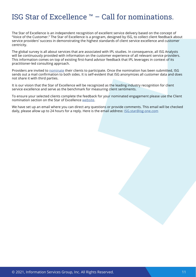# <span id="page-10-0"></span>ISG Star of Excellence ™ – Call for nominations.

The Star of Excellence is an independent recognition of excellent service delivery based on the concept of "Voice of the Customer." The Star of Excellence is a program, designed by ISG, to collect client feedback about service providers' success in demonstrating the highest standards of client service excellence and customer centricity.

The global survey is all about services that are associated with IPL studies. In consequence, all ISG Analysts will be continuously provided with information on the customer experience of all relevant service providers. This information comes on top of existing first-hand advisor feedback that IPL leverages in context of its practitioner-led consulting approach.

Providers are invited to [nominate](https://isg-one.com/research/star-of-excellence/nominate) their clients to participate. Once the nomination has been submitted, ISG sends out a mail confirmation to both sides. It is self-evident that ISG anonymizes all customer data and does not share it with third parties.

It is our vision that the Star of Excellence will be recognized as the leading industry recognition for client service excellence and serve as the benchmark for measuring client sentiments.

To ensure your selected clients complete the feedback for your nominated engagement please use the Client nomination section on the Star of Excellence [website.](https://isg-one.com/research/star-of-excellence)

We have set up an email where you can direct any questions or provide comments. This email will be checked daily, please allow up to 24 hours for a reply. Here is the email address: *[ISG.star@isg-one.com](mailto:ISG.star%40isg-one.com?subject=)*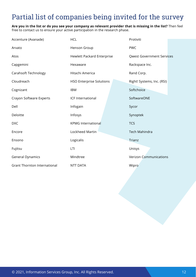# <span id="page-11-0"></span>Partial list of companies being invited for the survey

**Are you in the list or do you see your company as relevant provider that is missing in the list?** Then feel free to contact us to ensure your active participation in the research phase.

| Accenture (Avanade)                 | <b>HCL</b>                        | Protiviti                        |  |
|-------------------------------------|-----------------------------------|----------------------------------|--|
| Arvato                              | Henson Group                      | <b>PWC</b>                       |  |
| Atos                                | <b>Hewlett Packard Enterprise</b> | <b>Qwest Government Services</b> |  |
| Capgemini                           | Hexaware                          | Rackspace Inc.                   |  |
| <b>Carahsoft Technology</b>         | Hitachi America                   | Rand Corp.                       |  |
| Cloudreach                          | <b>HSO Enterprise Solutions</b>   | Right! Systems, Inc. (RSI)       |  |
| Cognizant                           | <b>IBM</b>                        | Softchoice                       |  |
| Crayon Software Experts             | ICF International                 | SoftwareONE                      |  |
| Dell                                | Infogain                          | Sycor                            |  |
| Deloitte                            | Infosys                           | Synoptek                         |  |
| <b>DXC</b>                          | <b>KPMG International</b>         | <b>TCS</b>                       |  |
| Encore                              | Lockheed Martin                   | <b>Tech Mahindra</b>             |  |
| Ensono                              | Logicalis                         | Trianz                           |  |
| Fujitsu                             | LTI                               | Unisys                           |  |
| <b>General Dynamics</b>             | Mindtree                          | <b>Verizon Communications</b>    |  |
| <b>Grant Thornton International</b> | <b>NTT DATA</b>                   | Wipro                            |  |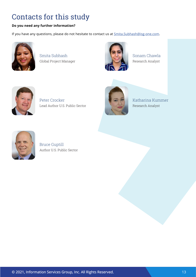# Contacts for this study

### **Do you need any further information?**

If you have any questions, please do not hesitate to contact us at **Smita.Subhash@isg-one.com**.



Smita Subhash Global Project Manager



Sonam Chawla Research Analyst



Peter Crocker Lead Author U.S. Public Sector



Katharina Kummer Research Analyst



Bruce Guptill Author U.S. Public Sector